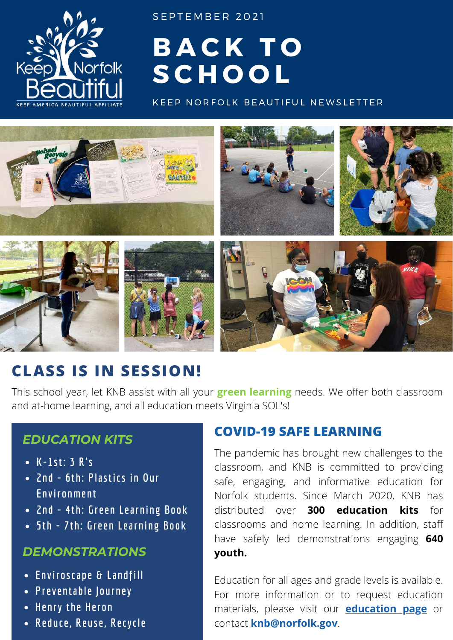

SEPTEMBER 2021

# **B A C K T O S C H O O L**

KEEP NORFOLK BEAUTIFUL NEWSLETTER



## **CLASS IS IN SESSION!**

This school year, let KNB assist with all your **green learning** needs. We offer both classroom and at-home learning, and all education meets Virginia SOL's!

## *EDUCATION KITS*

- **K-1st: 3 R's**
- **2nd - 6th: Plastics in Our Environment**
- **2nd - 4th: Green Learning Book**
- **5th - 7th: Green Learning Book**

### *DEMONSTRATIONS*

- **Enviroscape & Landfill**
- **Preventable Journey**
- **Henry the Heron**
- **Reduce, Reuse, Recycle**

## **COVID-19 SAFE LEARNING**

The pandemic has brought new challenges to the classroom, and KNB is committed to providing safe, engaging, and informative education for Norfolk students. Since March 2020, KNB has distributed over **300 education kits** for classrooms and home learning. In addition, staff have safely led demonstrations engaging **640 youth.**

Education for all ages and grade levels is available. For more information or to request education materials, please visit our **[education](https://www.norfolk.gov/4184/Education) page** or contact **knb@norfolk.gov**.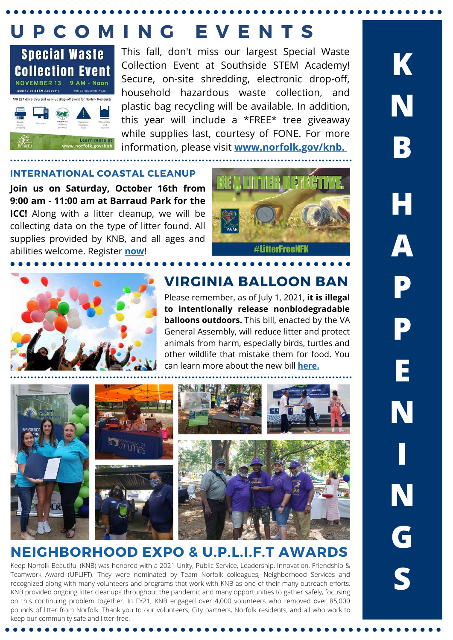## **U P C O M I N G E V E N T S**



This fall, don't miss our largest Special Waste Collection Event at Southside STEM Academy! Secure, on-site shredding, electronic drop-off, household hazardous waste collection, and plastic bag recycling will be available. In addition, this year will include a \*FREE\* tree giveaway while supplies last, courtesy of FONE. For more information, please visit **[www.norfolk.gov/knb.](https://www.norfolk.gov/2376/Keep-Norfolk-Beautiful)**

#### **INTERNATIONAL COASTAL CLEANUP**

**Join us on Saturday, October 16th from 9:00 am - 11:00 am at Barraud Park for the ICC!** Along with a litter cleanup, we will be collecting data on the type of litter found. All supplies provided by KNB, and all ages and abilities welcome. Register **[now](https://www.norfolk.gov/FormCenter/Keep-Norfolk-Beautiful-35/International-Coastal-Cleanup-Volunteer--639)**!





### **VIRGINIA BALLOON BAN**

Please remember, as of July 1, 2021, **it is illegal to intentionally release nonbiodegradable balloons outdoors.** This bill, enacted by the VA General Assembly, will reduce litter and protect animals from harm, especially birds, turtles and other wildlife that mistake them for food. You can learn more about the new bill **[here.](https://www.pilotonline.com/news/environment/vp-nw-balloon-release-0629-20210628-j2gh47ooorbojbiwqatln3hkhy-story.html)**



## **NEIGHBORHOOD EXPO & U.P.L.I.F.T AWARDS**

Keep Norfolk Beautiful (KNB) was honored with a 2021 Unity, Public Service, Leadership, Innovation, Friendship & Teamwork Award (UPLIFT). They were nominated by Team Norfolk colleagues, Neighborhood Services and recognized along with many volunteers and programs that work with KNB as one of their many outreach efforts. KNB provided ongoing litter cleanups throughout the pandemic and many opportunities to gather safely, focusing on this continuing problem together. In FY21, KNB engaged over 4,000 volunteers who removed over 85,000 pounds of litter from Norfolk. Thank you to our volunteers, City partners, Norfolk residents, and all who work to keep our community safe and litter-free.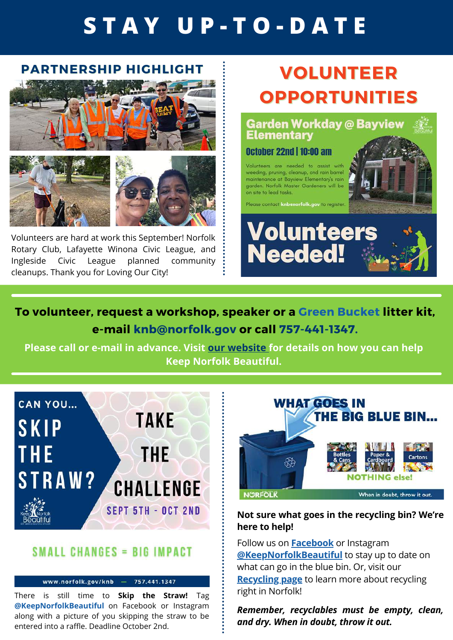# **S T A Y U P - T O - D A T E**

### **PARTNERSHIP HIGHLIGHT**



Volunteers are hard at work this September! Norfolk Rotary Club, Lafayette Winona Civic League, and Ingleside Civic League planned community cleanups. Thank you for Loving Our City!

## **VOLUNTEER OPPORTUNITIES**

**Garden Workday @ Bayview Elementary** 

#### **October 22nd | 10:00 am**

Volunteers are needed to assist with weeding, pruning, cleanup, and rain barrel maintenance at Bayview Elementary's rain garden. Norfolk Master Gardeners will be on site to lead tasks.

Please contact knbanorfolk.gov to register





## **To volunteer, request a workshop, speaker or a Green Bucket litter kit, e-mail knb@norfolk.gov or call 757-441-1347.**

**Please call or e-mail in advance. Visit our [website](https://www.norfolk.gov/2376/Keep-Norfolk-Beautiful) for details on how you can help Keep Norfolk Beautiful.**



### **SMALL CHANGES = BIG IMPACT**

www.norfolk.gov/knb - 757.441.1347

There is still time to **Skip the Straw!** Tag **@KeepNorfolkBeautiful** on Facebook or Instagram along with a picture of you skipping the straw to be entered into a raffle. Deadline October 2nd.



#### **Not sure what goes in the recycling bin? We're here to help!**

Follow us on **[Facebook](https://www.facebook.com/KeepNorfolkBeautiful)** or Instagram **[@KeepNorfolkBeautiful](https://www.instagram.com/keepnorfolkbeautiful/?hl=en)** to stay up to date on what can go in the blue bin. Or, visit our **[Recycling](https://www.norfolk.gov/4813/Recycling) page** to learn more about recycling right in Norfolk!

*Remember, recyclables must be empty, clean, and dry. When in doubt, throw it out.*